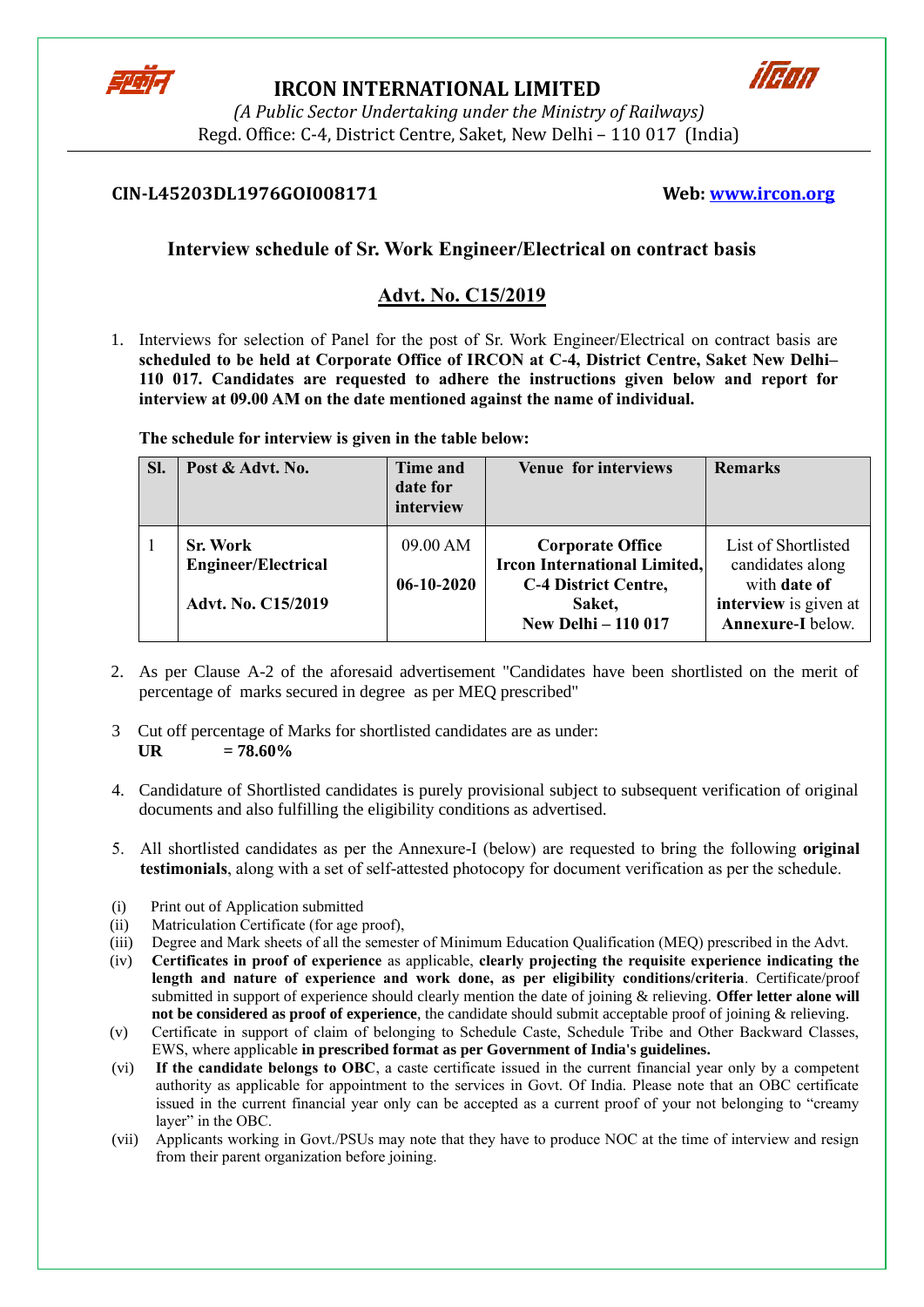

## **IRCON INTERNATIONAL LIMITED**



*(A Public Sector Undertaking under the Ministry of Railways)* Regd. Office: C-4, District Centre, Saket, New Delhi – 110 017 (India)

## **CIN-L45203DL1976GOI008171 Web: [www.ircon.org](http://www.ircon.org/)**

# **Interview schedule of Sr. Work Engineer/Electrical on contract basis**

# **Advt. No. C15/2019**

1. Interviews for selection of Panel for the post of Sr. Work Engineer/Electrical on contract basis are **scheduled to be held at Corporate Office of IRCON at C-4, District Centre, Saket New Delhi– 110 017. Candidates are requested to adhere the instructions given below and report for interview at 09.00 AM on the date mentioned against the name of individual.** 

| SI. | Post & Advt. No.                                                           | <b>Time and</b><br>date for<br>interview | <b>Venue for interviews</b>                                                                                                           | <b>Remarks</b>                                                                                               |
|-----|----------------------------------------------------------------------------|------------------------------------------|---------------------------------------------------------------------------------------------------------------------------------------|--------------------------------------------------------------------------------------------------------------|
| 1   | <b>Sr. Work</b><br><b>Engineer/Electrical</b><br><b>Advt. No. C15/2019</b> | 09.00 AM<br>$06-10-2020$                 | <b>Corporate Office</b><br><b>Ircon International Limited,</b><br><b>C-4 District Centre,</b><br>Saket,<br><b>New Delhi - 110 017</b> | List of Shortlisted<br>candidates along<br>with date of<br>interview is given at<br><b>Annexure-I</b> below. |

**The schedule for interview is given in the table below:**

- 2. As per Clause A-2 of the aforesaid advertisement "Candidates have been shortlisted on the merit of percentage of marks secured in degree as per MEQ prescribed"
- 3 Cut off percentage of Marks for shortlisted candidates are as under:  $\mathbf{U} \mathbf{R} = 78.60\%$
- 4. Candidature of Shortlisted candidates is purely provisional subject to subsequent verification of original documents and also fulfilling the eligibility conditions as advertised.
- 5. All shortlisted candidates as per the Annexure-I (below) are requested to bring the following **original testimonials**, along with a set of self-attested photocopy for document verification as per the schedule.
- (i) Print out of Application submitted
- (ii) Matriculation Certificate (for age proof),
- (iii) Degree and Mark sheets of all the semester of Minimum Education Qualification (MEQ) prescribed in the Advt.
- (iv) **Certificates in proof of experience** as applicable, **clearly projecting the requisite experience indicating the length and nature of experience and work done, as per eligibility conditions/criteria**. Certificate/proof submitted in support of experience should clearly mention the date of joining & relieving. **Offer letter alone will not be considered as proof of experience**, the candidate should submit acceptable proof of joining & relieving.
- (v) Certificate in support of claim of belonging to Schedule Caste, Schedule Tribe and Other Backward Classes, EWS, where applicable **in prescribed format as per Government of India's guidelines.**
- (vi) **If the candidate belongs to OBC**, a caste certificate issued in the current financial year only by a competent authority as applicable for appointment to the services in Govt. Of India. Please note that an OBC certificate issued in the current financial year only can be accepted as a current proof of your not belonging to "creamy layer" in the OBC.
- (vii) Applicants working in Govt./PSUs may note that they have to produce NOC at the time of interview and resign from their parent organization before joining.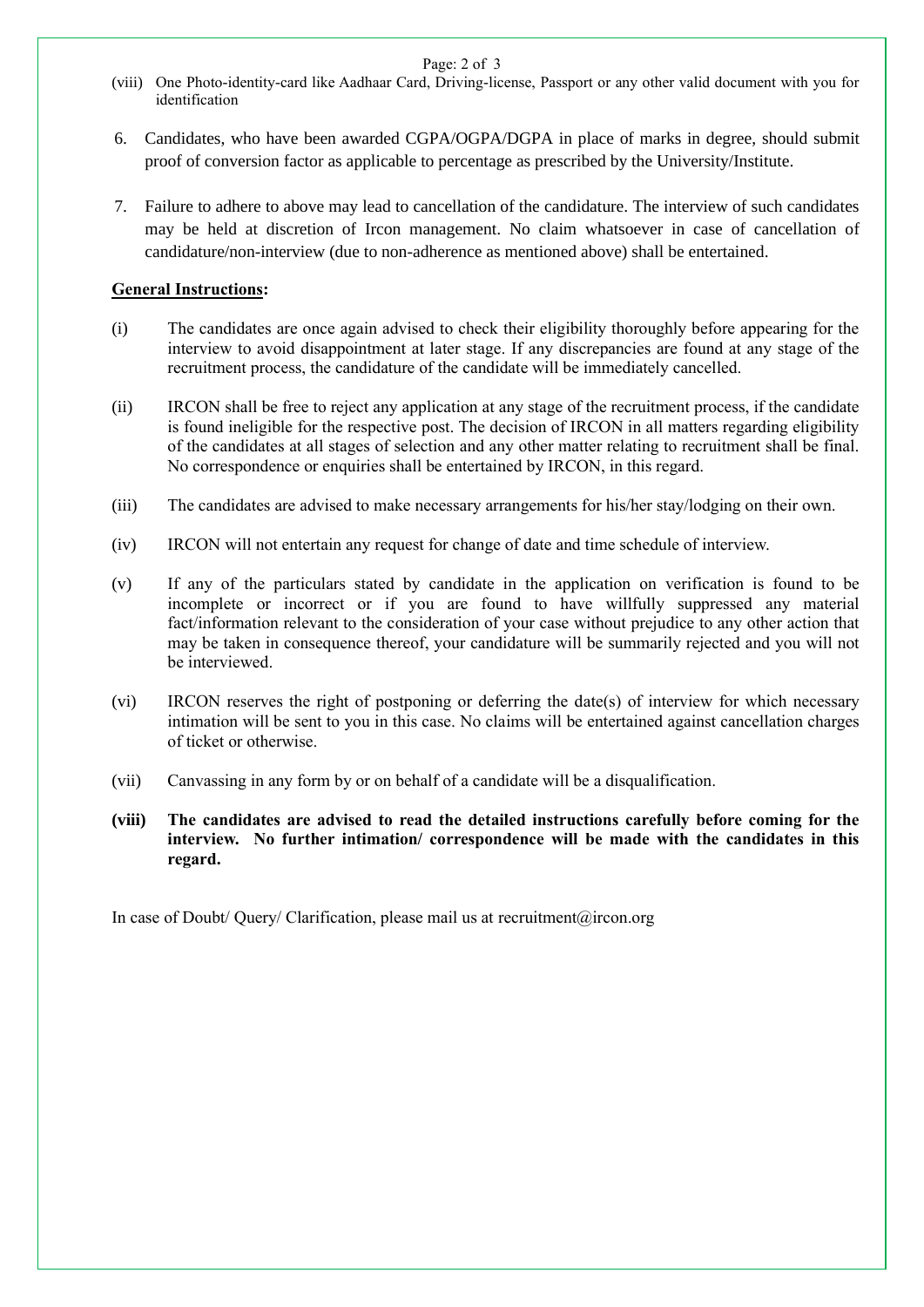Page: 2 of 3

- (viii) One Photo-identity-card like Aadhaar Card, Driving-license, Passport or any other valid document with you for identification
- 6. Candidates, who have been awarded CGPA/OGPA/DGPA in place of marks in degree, should submit proof of conversion factor as applicable to percentage as prescribed by the University/Institute.
- 7. Failure to adhere to above may lead to cancellation of the candidature. The interview of such candidates may be held at discretion of Ircon management. No claim whatsoever in case of cancellation of candidature/non-interview (due to non-adherence as mentioned above) shall be entertained.

### **General Instructions:**

- (i) The candidates are once again advised to check their eligibility thoroughly before appearing for the interview to avoid disappointment at later stage. If any discrepancies are found at any stage of the recruitment process, the candidature of the candidate will be immediately cancelled.
- (ii) IRCON shall be free to reject any application at any stage of the recruitment process, if the candidate is found ineligible for the respective post. The decision of IRCON in all matters regarding eligibility of the candidates at all stages of selection and any other matter relating to recruitment shall be final. No correspondence or enquiries shall be entertained by IRCON, in this regard.
- (iii) The candidates are advised to make necessary arrangements for his/her stay/lodging on their own.
- (iv) IRCON will not entertain any request for change of date and time schedule of interview.
- (v) If any of the particulars stated by candidate in the application on verification is found to be incomplete or incorrect or if you are found to have willfully suppressed any material fact/information relevant to the consideration of your case without prejudice to any other action that may be taken in consequence thereof, your candidature will be summarily rejected and you will not be interviewed.
- (vi) IRCON reserves the right of postponing or deferring the date(s) of interview for which necessary intimation will be sent to you in this case. No claims will be entertained against cancellation charges of ticket or otherwise.
- (vii) Canvassing in any form by or on behalf of a candidate will be a disqualification.
- **(viii) The candidates are advised to read the detailed instructions carefully before coming for the interview. No further intimation/ correspondence will be made with the candidates in this regard.**

In case of Doubt/ Query/ Clarification, please mail us at recruitment@ircon.org